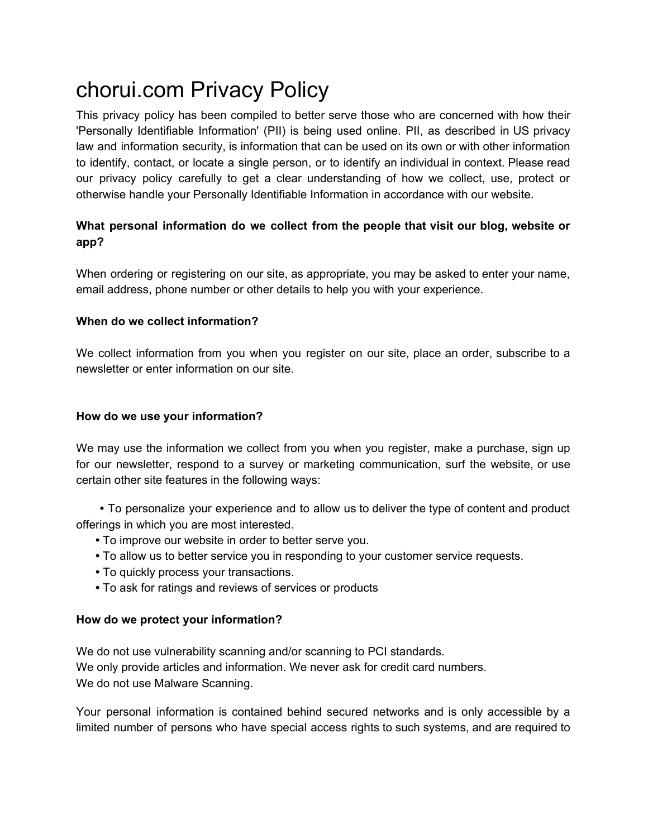# chorui.com Privacy Policy

This privacy policy has been compiled to better serve those who are concerned with how their 'Personally Identifiable Information' (PII) is being used online. PII, as described in US privacy law and information security, is information that can be used on its own or with other information to identify, contact, or locate a single person, or to identify an individual in context. Please read our privacy policy carefully to get a clear understanding of how we collect, use, protect or otherwise handle your Personally Identifiable Information in accordance with our website.

## **What personal information do we collect from the people that visit our blog, website or app?**

When ordering or registering on our site, as appropriate, you may be asked to enter your name, email address, phone number or other details to help you with your experience.

#### **When do we collect information?**

We collect information from you when you register on our site, place an order, subscribe to a newsletter or enter information on our site.

#### **How do we use your information?**

We may use the information we collect from you when you register, make a purchase, sign up for our newsletter, respond to a survey or marketing communication, surf the website, or use certain other site features in the following ways:

**•** To personalize your experience and to allow us to deliver the type of content and product offerings in which you are most interested.

- **•** To improve our website in order to better serve you.
- **•** To allow us to better service you in responding to your customer service requests.
- **•** To quickly process your transactions.
- **•** To ask for ratings and reviews of services or products

#### **How do we protect your information?**

We do not use vulnerability scanning and/or scanning to PCI standards. We only provide articles and information. We never ask for credit card numbers. We do not use Malware Scanning.

Your personal information is contained behind secured networks and is only accessible by a limited number of persons who have special access rights to such systems, and are required to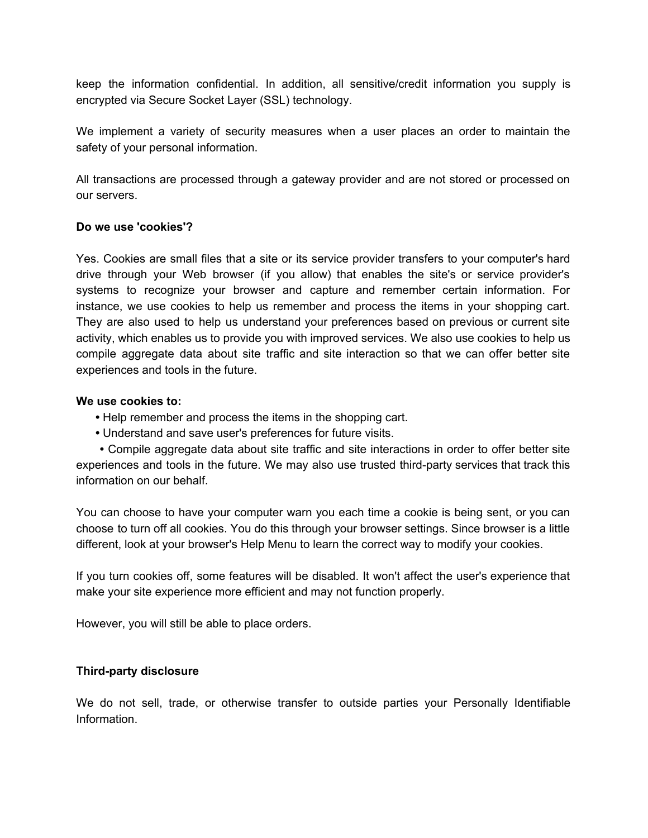keep the information confidential. In addition, all sensitive/credit information you supply is encrypted via Secure Socket Layer (SSL) technology.

We implement a variety of security measures when a user places an order to maintain the safety of your personal information.

All transactions are processed through a gateway provider and are not stored or processed on our servers.

#### **Do we use 'cookies'?**

Yes. Cookies are small files that a site or its service provider transfers to your computer's hard drive through your Web browser (if you allow) that enables the site's or service provider's systems to recognize your browser and capture and remember certain information. For instance, we use cookies to help us remember and process the items in your shopping cart. They are also used to help us understand your preferences based on previous or current site activity, which enables us to provide you with improved services. We also use cookies to help us compile aggregate data about site traffic and site interaction so that we can offer better site experiences and tools in the future.

#### **We use cookies to:**

- **•** Help remember and process the items in the shopping cart.
- **•** Understand and save user's preferences for future visits.

**•** Compile aggregate data about site traffic and site interactions in order to offer better site experiences and tools in the future. We may also use trusted third-party services that track this information on our behalf.

You can choose to have your computer warn you each time a cookie is being sent, or you can choose to turn off all cookies. You do this through your browser settings. Since browser is a little different, look at your browser's Help Menu to learn the correct way to modify your cookies.

If you turn cookies off, some features will be disabled. It won't affect the user's experience that make your site experience more efficient and may not function properly.

However, you will still be able to place orders.

#### **Third-party disclosure**

We do not sell, trade, or otherwise transfer to outside parties your Personally Identifiable Information.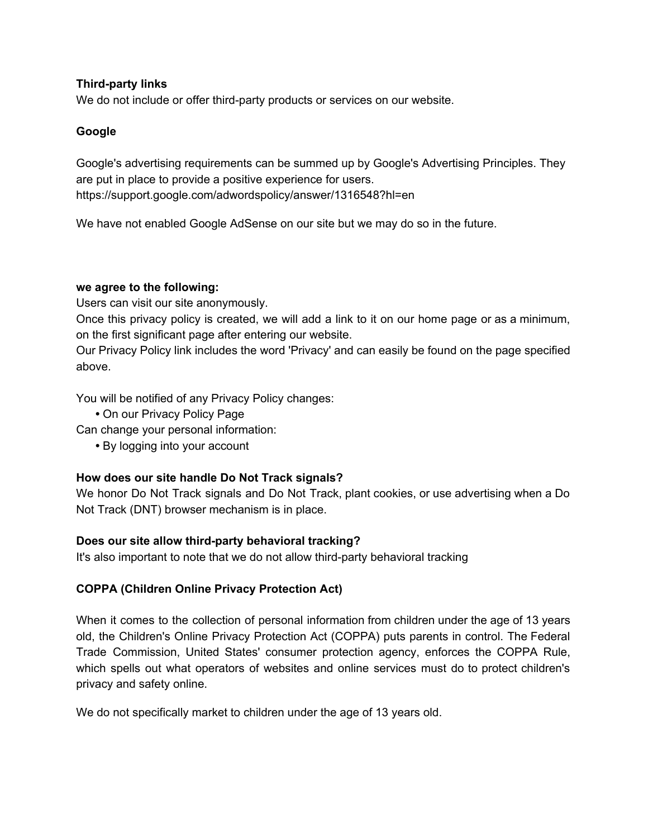#### **Third-party links**

We do not include or offer third-party products or services on our website.

### **Google**

Google's advertising requirements can be summed up by Google's Advertising Principles. They are put in place to provide a positive experience for users. https://support.google.com/adwordspolicy/answer/1316548?hl=en

We have not enabled Google AdSense on our site but we may do so in the future.

#### **we agree to the following:**

Users can visit our site anonymously.

Once this privacy policy is created, we will add a link to it on our home page or as a minimum, on the first significant page after entering our website.

Our Privacy Policy link includes the word 'Privacy' and can easily be found on the page specified above.

You will be notified of any Privacy Policy changes:

**•** On our Privacy Policy Page

Can change your personal information:

**•** By logging into your account

## **How does our site handle Do Not Track signals?**

We honor Do Not Track signals and Do Not Track, plant cookies, or use advertising when a Do Not Track (DNT) browser mechanism is in place.

## **Does our site allow third-party behavioral tracking?**

It's also important to note that we do not allow third-party behavioral tracking

## **COPPA (Children Online Privacy Protection Act)**

When it comes to the collection of personal information from children under the age of 13 years old, the Children's Online Privacy Protection Act (COPPA) puts parents in control. The Federal Trade Commission, United States' consumer protection agency, enforces the COPPA Rule, which spells out what operators of websites and online services must do to protect children's privacy and safety online.

We do not specifically market to children under the age of 13 years old.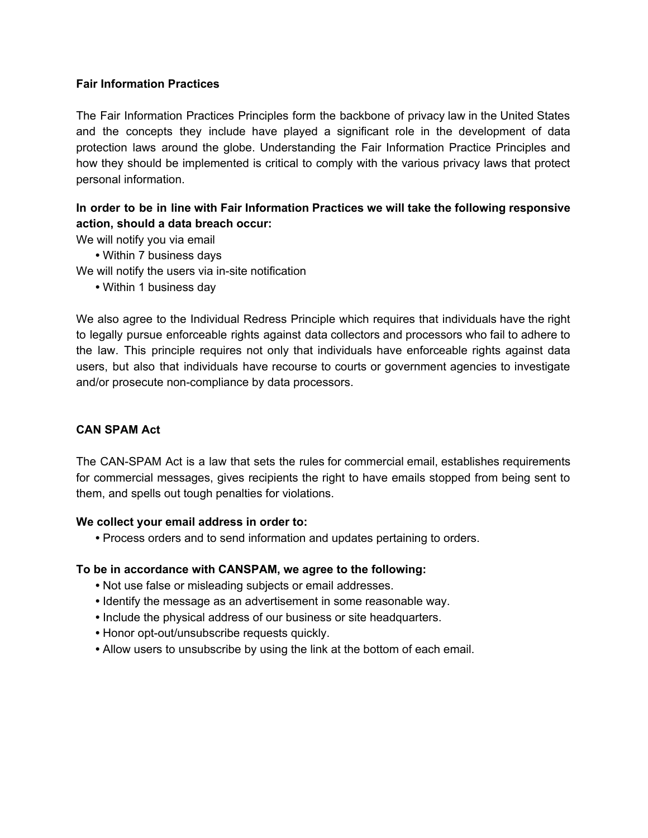#### **Fair Information Practices**

The Fair Information Practices Principles form the backbone of privacy law in the United States and the concepts they include have played a significant role in the development of data protection laws around the globe. Understanding the Fair Information Practice Principles and how they should be implemented is critical to comply with the various privacy laws that protect personal information.

## **In order to be in line with Fair Information Practices we will take the following responsive action, should a data breach occur:**

We will notify you via email

- **•** Within 7 business days
- We will notify the users via in-site notification
	- **•** Within 1 business day

We also agree to the Individual Redress Principle which requires that individuals have the right to legally pursue enforceable rights against data collectors and processors who fail to adhere to the law. This principle requires not only that individuals have enforceable rights against data users, but also that individuals have recourse to courts or government agencies to investigate and/or prosecute non-compliance by data processors.

## **CAN SPAM Act**

The CAN-SPAM Act is a law that sets the rules for commercial email, establishes requirements for commercial messages, gives recipients the right to have emails stopped from being sent to them, and spells out tough penalties for violations.

#### **We collect your email address in order to:**

**•** Process orders and to send information and updates pertaining to orders.

## **To be in accordance with CANSPAM, we agree to the following:**

- **•** Not use false or misleading subjects or email addresses.
- **•** Identify the message as an advertisement in some reasonable way.
- **•** Include the physical address of our business or site headquarters.
- **•** Honor opt-out/unsubscribe requests quickly.
- **•** Allow users to unsubscribe by using the link at the bottom of each email.